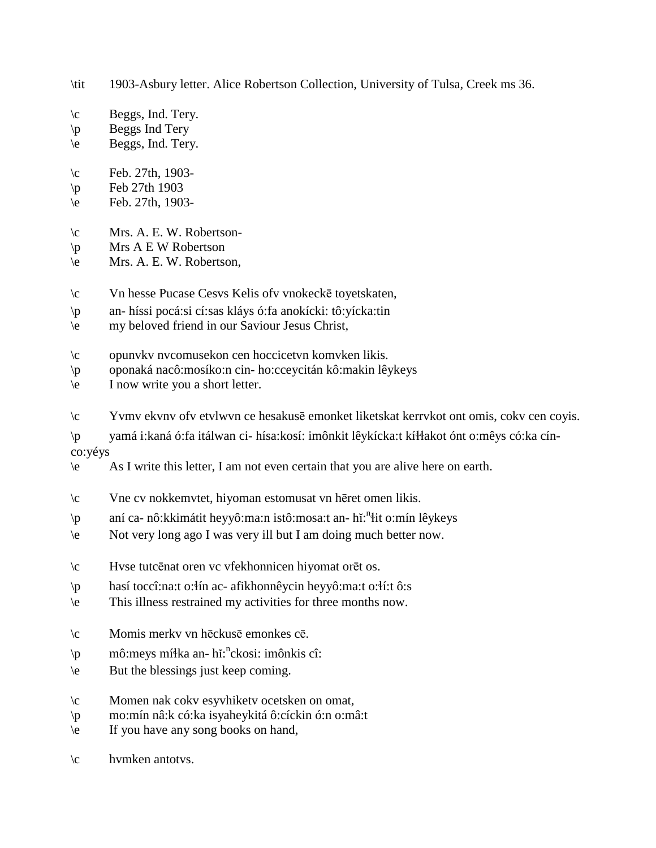- \tit 1903-Asbury letter. Alice Robertson Collection, University of Tulsa, Creek ms 36.
- $\c$  Beggs, Ind. Tery.
- \p Beggs Ind Tery
- \e Beggs, Ind. Tery.
- $\c$  Feb. 27th, 1903-
- $\pi$  Feb 27th 1903
- \e Feb. 27th, 1903-
- \c Mrs. A. E. W. Robertson-
- $\pi$  Mrs A E W Robertson
- \e Mrs. A. E. W. Robertson,
- \c Vn hesse Pucase Cesvs Kelis ofv vnokeckē toyetskaten,
- \p an- híssi pocá:si cí:sas kláys ó:fa anokícki: tô:yícka:tin
- \e my beloved friend in our Saviour Jesus Christ,
- \c opunvkv nvcomusekon cen hoccicetvn komvken likis.
- \p oponaká nacô:mosíko:n cin- ho:cceycitán kô:makin lêykeys
- \e I now write you a short letter.
- \c Yvmv ekvnv ofv etvlwvn ce hesakusē emonket liketskat kerrvkot ont omis, cokv cen coyis.
- \p yamá i:kaná ó:fa itálwan ci- hísa:kosí: imônkit lêykícka:t kí!!akot ónt o:mêys có:ka cínco:yéys
- \e As I write this letter, I am not even certain that you are alive here on earth.
- \c Vne cv nokkemvtet, hiyoman estomusat vn hēret omen likis.
- \p aní ca- nô:kkimátit heyyô:ma:n istô:mosa:t an- hǐ:<sup>n</sup>łit o:mín lêykeys
- \e Not very long ago I was very ill but I am doing much better now.
- \c Hvse tutcēnat oren vc vfekhonnicen hiyomat orēt os.
- \p hasí toccî:na:t o:!ín ac- afikhonnêycin heyyô:ma:t o:!í:t ô:s
- \e This illness restrained my activities for three months now.
- \c Momis merkv vn hēckusē emonkes cē.
- \p mô:meys mí\la an- hǐ:<sup>n</sup>ckosi: imônkis cî:
- \e But the blessings just keep coming.
- \c Momen nak cokv esyvhiketv ocetsken on omat,
- \p mo:mín nâ:k có:ka isyaheykitá ô:cíckin ó:n o:mâ:t
- \e If you have any song books on hand,

\c hvmken antotvs.